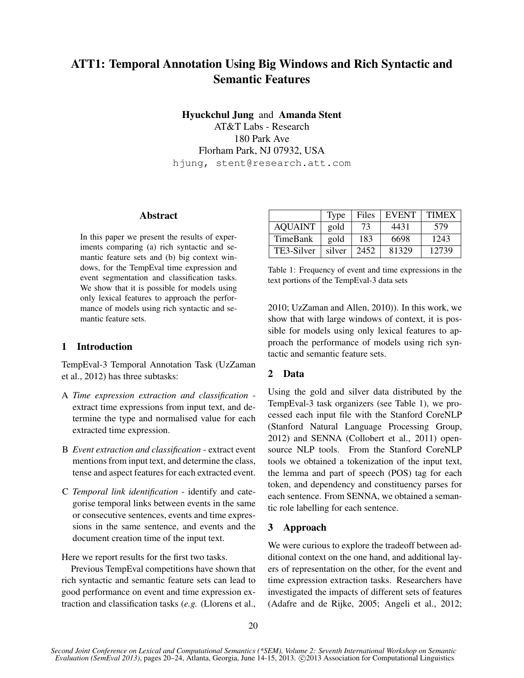# ATT1: Temporal Annotation Using Big Windows and Rich Syntactic and Semantic Features

Hyuckchul Jung and Amanda Stent

AT&T Labs - Research 180 Park Ave Florham Park, NJ 07932, USA hjung, stent@research.att.com

#### Abstract

In this paper we present the results of experiments comparing (a) rich syntactic and semantic feature sets and (b) big context windows, for the TempEval time expression and event segmentation and classification tasks. We show that it is possible for models using only lexical features to approach the performance of models using rich syntactic and semantic feature sets.

# 1 Introduction

TempEval-3 Temporal Annotation Task (UzZaman et al., 2012) has three subtasks:

- A *Time expression extraction and classification* extract time expressions from input text, and determine the type and normalised value for each extracted time expression.
- B *Event extraction and classification* extract event mentions from input text, and determine the class, tense and aspect features for each extracted event.
- C *Temporal link identification* identify and categorise temporal links between events in the same or consecutive sentences, events and time expressions in the same sentence, and events and the document creation time of the input text.

Here we report results for the first two tasks.

Previous TempEval competitions have shown that rich syntactic and semantic feature sets can lead to good performance on event and time expression extraction and classification tasks (*e.g.* (Llorens et al.,

|                | Type   | Files | <b>EVENT</b> | <b>TIMEX</b> |
|----------------|--------|-------|--------------|--------------|
| <b>AQUAINT</b> | gold   | 73    | 4431         | 579          |
| TimeBank       | gold   | 183   | 6698         | 1243         |
| TE3-Silver     | silver | 2452  | 81329        | 12739        |

Table 1: Frequency of event and time expressions in the text portions of the TempEval-3 data sets

2010; UzZaman and Allen, 2010)). In this work, we show that with large windows of context, it is possible for models using only lexical features to approach the performance of models using rich syntactic and semantic feature sets.

# 2 Data

Using the gold and silver data distributed by the TempEval-3 task organizers (see Table 1), we processed each input file with the Stanford CoreNLP (Stanford Natural Language Processing Group, 2012) and SENNA (Collobert et al., 2011) opensource NLP tools. From the Stanford CoreNLP tools we obtained a tokenization of the input text, the lemma and part of speech (POS) tag for each token, and dependency and constituency parses for each sentence. From SENNA, we obtained a semantic role labelling for each sentence.

# 3 Approach

We were curious to explore the tradeoff between additional context on the one hand, and additional layers of representation on the other, for the event and time expression extraction tasks. Researchers have investigated the impacts of different sets of features (Adafre and de Rijke, 2005; Angeli et al., 2012;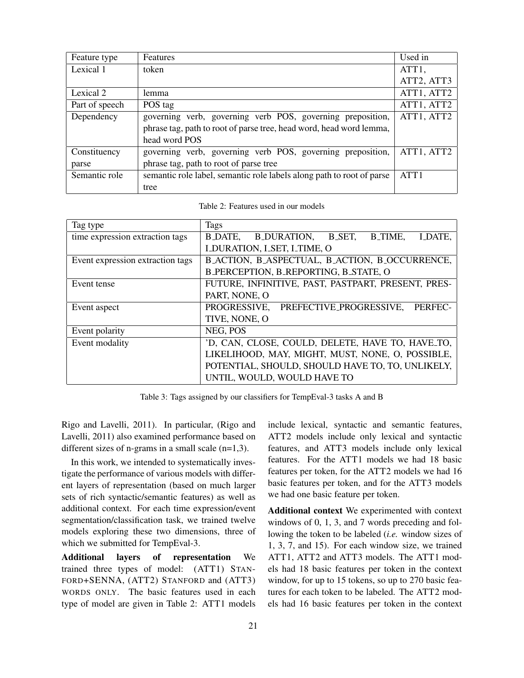| Feature type   | <b>Features</b>                                                       | Used in            |
|----------------|-----------------------------------------------------------------------|--------------------|
| Lexical 1      | token                                                                 | ATT <sub>1</sub> , |
|                |                                                                       | ATT2, ATT3         |
| Lexical 2      | lemma                                                                 | ATT1, ATT2         |
| Part of speech | POS tag                                                               | ATT1, ATT2         |
| Dependency     | governing verb, governing verb POS, governing preposition,            | ATT1, ATT2         |
|                | phrase tag, path to root of parse tree, head word, head word lemma,   |                    |
|                | head word POS                                                         |                    |
| Constituency   | governing verb, governing verb POS, governing preposition,            | ATT1, ATT2         |
| parse          | phrase tag, path to root of parse tree                                |                    |
| Semantic role  | semantic role label, semantic role labels along path to root of parse | ATT1               |
|                | tree                                                                  |                    |

Table 2: Features used in our models

| Tag type                         | Tags                                                                       |  |  |  |  |  |
|----------------------------------|----------------------------------------------------------------------------|--|--|--|--|--|
| time expression extraction tags  | <b>B_DATE,</b><br><b>B_DURATION,</b><br>B_SET,<br><b>B_TIME,</b><br>LDATE, |  |  |  |  |  |
|                                  | <b>LDURATION, LSET, LTIME, O</b>                                           |  |  |  |  |  |
| Event expression extraction tags | B_ACTION, B_ASPECTUAL, B_ACTION, B_OCCURRENCE,                             |  |  |  |  |  |
|                                  | B_PERCEPTION, B_REPORTING, B_STATE, O                                      |  |  |  |  |  |
| Event tense                      | FUTURE, INFINITIVE, PAST, PASTPART, PRESENT, PRES-                         |  |  |  |  |  |
|                                  | PART, NONE, O                                                              |  |  |  |  |  |
| Event aspect                     | PREFECTIVE_PROGRESSIVE,<br>PROGRESSIVE,<br>PERFEC-                         |  |  |  |  |  |
|                                  | TIVE, NONE, O                                                              |  |  |  |  |  |
| Event polarity                   | NEG, POS                                                                   |  |  |  |  |  |
| Event modality                   | 'D, CAN, CLOSE, COULD, DELETE, HAVE TO, HAVE TO,                           |  |  |  |  |  |
|                                  | LIKELIHOOD, MAY, MIGHT, MUST, NONE, O, POSSIBLE,                           |  |  |  |  |  |
|                                  | POTENTIAL, SHOULD, SHOULD HAVE TO, TO, UNLIKELY,                           |  |  |  |  |  |
|                                  | UNTIL, WOULD, WOULD HAVE TO                                                |  |  |  |  |  |

Table 3: Tags assigned by our classifiers for TempEval-3 tasks A and B

Rigo and Lavelli, 2011). In particular, (Rigo and Lavelli, 2011) also examined performance based on different sizes of n-grams in a small scale (n=1,3).

In this work, we intended to systematically investigate the performance of various models with different layers of representation (based on much larger sets of rich syntactic/semantic features) as well as additional context. For each time expression/event segmentation/classification task, we trained twelve models exploring these two dimensions, three of which we submitted for TempEval-3.

Additional layers of representation We trained three types of model: (ATT1) STAN-FORD+SENNA, (ATT2) STANFORD and (ATT3) WORDS ONLY. The basic features used in each type of model are given in Table 2: ATT1 models

include lexical, syntactic and semantic features, ATT2 models include only lexical and syntactic features, and ATT3 models include only lexical features. For the ATT1 models we had 18 basic features per token, for the ATT2 models we had 16 basic features per token, and for the ATT3 models we had one basic feature per token.

Additional context We experimented with context windows of 0, 1, 3, and 7 words preceding and following the token to be labeled (*i.e.* window sizes of 1, 3, 7, and 15). For each window size, we trained ATT1, ATT2 and ATT3 models. The ATT1 models had 18 basic features per token in the context window, for up to 15 tokens, so up to 270 basic features for each token to be labeled. The ATT2 models had 16 basic features per token in the context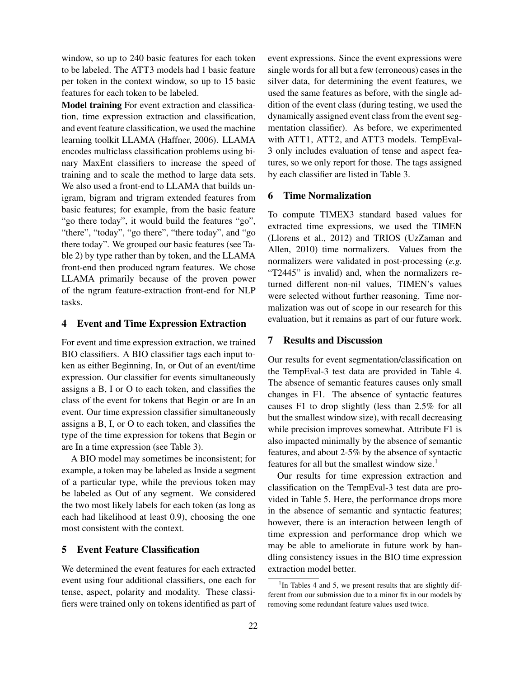window, so up to 240 basic features for each token to be labeled. The ATT3 models had 1 basic feature per token in the context window, so up to 15 basic features for each token to be labeled.

Model training For event extraction and classification, time expression extraction and classification, and event feature classification, we used the machine learning toolkit LLAMA (Haffner, 2006). LLAMA encodes multiclass classification problems using binary MaxEnt classifiers to increase the speed of training and to scale the method to large data sets. We also used a front-end to LLAMA that builds unigram, bigram and trigram extended features from basic features; for example, from the basic feature "go there today", it would build the features "go", "there", "today", "go there", "there today", and "go there today". We grouped our basic features (see Table 2) by type rather than by token, and the LLAMA front-end then produced ngram features. We chose LLAMA primarily because of the proven power of the ngram feature-extraction front-end for NLP tasks.

#### 4 Event and Time Expression Extraction

For event and time expression extraction, we trained BIO classifiers. A BIO classifier tags each input token as either Beginning, In, or Out of an event/time expression. Our classifier for events simultaneously assigns a B, I or O to each token, and classifies the class of the event for tokens that Begin or are In an event. Our time expression classifier simultaneously assigns a B, I, or O to each token, and classifies the type of the time expression for tokens that Begin or are In a time expression (see Table 3).

A BIO model may sometimes be inconsistent; for example, a token may be labeled as Inside a segment of a particular type, while the previous token may be labeled as Out of any segment. We considered the two most likely labels for each token (as long as each had likelihood at least 0.9), choosing the one most consistent with the context.

## 5 Event Feature Classification

We determined the event features for each extracted event using four additional classifiers, one each for tense, aspect, polarity and modality. These classifiers were trained only on tokens identified as part of event expressions. Since the event expressions were single words for all but a few (erroneous) cases in the silver data, for determining the event features, we used the same features as before, with the single addition of the event class (during testing, we used the dynamically assigned event class from the event segmentation classifier). As before, we experimented with ATT1, ATT2, and ATT3 models. TempEval-3 only includes evaluation of tense and aspect features, so we only report for those. The tags assigned by each classifier are listed in Table 3.

#### 6 Time Normalization

To compute TIMEX3 standard based values for extracted time expressions, we used the TIMEN (Llorens et al., 2012) and TRIOS (UzZaman and Allen, 2010) time normalizers. Values from the normalizers were validated in post-processing (*e.g.* "T2445" is invalid) and, when the normalizers returned different non-nil values, TIMEN's values were selected without further reasoning. Time normalization was out of scope in our research for this evaluation, but it remains as part of our future work.

## 7 Results and Discussion

Our results for event segmentation/classification on the TempEval-3 test data are provided in Table 4. The absence of semantic features causes only small changes in F1. The absence of syntactic features causes F1 to drop slightly (less than 2.5% for all but the smallest window size), with recall decreasing while precision improves somewhat. Attribute F1 is also impacted minimally by the absence of semantic features, and about 2-5% by the absence of syntactic features for all but the smallest window size.<sup>1</sup>

Our results for time expression extraction and classification on the TempEval-3 test data are provided in Table 5. Here, the performance drops more in the absence of semantic and syntactic features; however, there is an interaction between length of time expression and performance drop which we may be able to ameliorate in future work by handling consistency issues in the BIO time expression extraction model better.

<sup>&</sup>lt;sup>1</sup>In Tables 4 and 5, we present results that are slightly different from our submission due to a minor fix in our models by removing some redundant feature values used twice.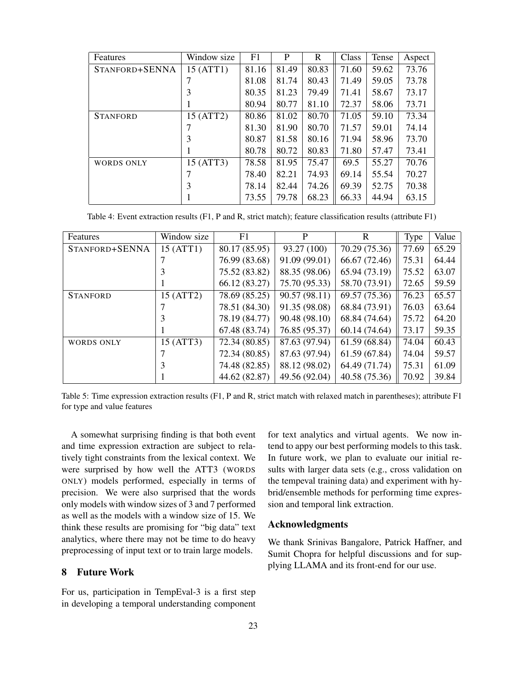| Features          | Window size | F1    | P     | R     | Class | Tense | Aspect |
|-------------------|-------------|-------|-------|-------|-------|-------|--------|
| STANFORD+SENNA    | 15 (ATT1)   | 81.16 | 81.49 | 80.83 | 71.60 | 59.62 | 73.76  |
|                   |             | 81.08 | 81.74 | 80.43 | 71.49 | 59.05 | 73.78  |
|                   | 3           | 80.35 | 81.23 | 79.49 | 71.41 | 58.67 | 73.17  |
|                   |             | 80.94 | 80.77 | 81.10 | 72.37 | 58.06 | 73.71  |
| <b>STANFORD</b>   | 15 (ATT2)   | 80.86 | 81.02 | 80.70 | 71.05 | 59.10 | 73.34  |
|                   | 7           | 81.30 | 81.90 | 80.70 | 71.57 | 59.01 | 74.14  |
|                   | 3           | 80.87 | 81.58 | 80.16 | 71.94 | 58.96 | 73.70  |
|                   | 1           | 80.78 | 80.72 | 80.83 | 71.80 | 57.47 | 73.41  |
| <b>WORDS ONLY</b> | 15 (ATT3)   | 78.58 | 81.95 | 75.47 | 69.5  | 55.27 | 70.76  |
|                   | 7           | 78.40 | 82.21 | 74.93 | 69.14 | 55.54 | 70.27  |
|                   | 3           | 78.14 | 82.44 | 74.26 | 69.39 | 52.75 | 70.38  |
|                   |             | 73.55 | 79.78 | 68.23 | 66.33 | 44.94 | 63.15  |

Table 4: Event extraction results (F1, P and R, strict match); feature classification results (attribute F1)

| Features          | Window size | F1            | P             | R             | Type  | Value |
|-------------------|-------------|---------------|---------------|---------------|-------|-------|
| STANFORD+SENNA    | 15 (ATT1)   | 80.17 (85.95) | 93.27 (100)   | 70.29 (75.36) | 77.69 | 65.29 |
|                   |             | 76.99 (83.68) | 91.09 (99.01) | 66.67 (72.46) | 75.31 | 64.44 |
|                   |             | 75.52 (83.82) | 88.35 (98.06) | 65.94 (73.19) | 75.52 | 63.07 |
|                   |             | 66.12 (83.27) | 75.70 (95.33) | 58.70 (73.91) | 72.65 | 59.59 |
| <b>STANFORD</b>   | 15 (ATT2)   | 78.69 (85.25) | 90.57 (98.11) | 69.57 (75.36) | 76.23 | 65.57 |
|                   |             | 78.51 (84.30) | 91.35 (98.08) | 68.84 (73.91) | 76.03 | 63.64 |
|                   |             | 78.19 (84.77) | 90.48 (98.10) | 68.84 (74.64) | 75.72 | 64.20 |
|                   |             | 67.48 (83.74) | 76.85 (95.37) | 60.14 (74.64) | 73.17 | 59.35 |
| <b>WORDS ONLY</b> | 15 (ATT3)   | 72.34 (80.85) | 87.63 (97.94) | 61.59 (68.84) | 74.04 | 60.43 |
|                   |             | 72.34 (80.85) | 87.63 (97.94) | 61.59 (67.84) | 74.04 | 59.57 |
|                   | 3           | 74.48 (82.85) | 88.12 (98.02) | 64.49 (71.74) | 75.31 | 61.09 |
|                   |             | 44.62 (82.87) | 49.56 (92.04) | 40.58 (75.36) | 70.92 | 39.84 |

Table 5: Time expression extraction results (F1, P and R, strict match with relaxed match in parentheses); attribute F1 for type and value features

A somewhat surprising finding is that both event and time expression extraction are subject to relatively tight constraints from the lexical context. We were surprised by how well the ATT3 (WORDS ONLY) models performed, especially in terms of precision. We were also surprised that the words only models with window sizes of 3 and 7 performed as well as the models with a window size of 15. We think these results are promising for "big data" text analytics, where there may not be time to do heavy preprocessing of input text or to train large models.

## 8 Future Work

For us, participation in TempEval-3 is a first step in developing a temporal understanding component for text analytics and virtual agents. We now intend to appy our best performing models to this task. In future work, we plan to evaluate our initial results with larger data sets (e.g., cross validation on the tempeval training data) and experiment with hybrid/ensemble methods for performing time expression and temporal link extraction.

#### Acknowledgments

We thank Srinivas Bangalore, Patrick Haffner, and Sumit Chopra for helpful discussions and for supplying LLAMA and its front-end for our use.